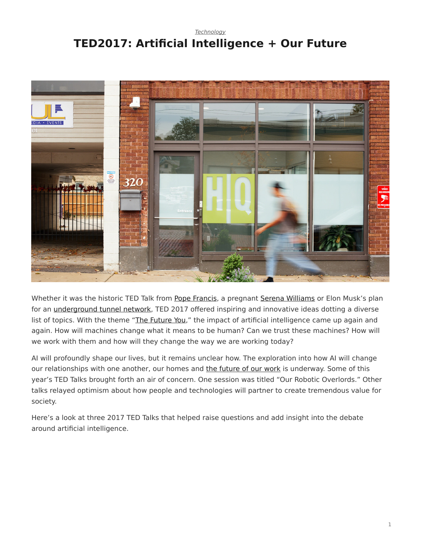# <span id="page-0-0"></span>*[Technology](https://www.steelcase.com/research/topics/technology/)* **TED2017: Artificial Intelligence + Our Future**



Whether it was the historic TED Talk from [Pope Francis](https://www.ted.com/talks/pope_francis_why_the_only_future_worth_building_includes_everyone), a pregnant [Serena Williams](https://www.ted.com/talks/serena_williams_gayle_king_on_tennis_love_and_motherhood) or Elon Musk's plan for an [underground tunnel network,](http://blog.ted.com/what-will-the-future-look-like-elon-musk-speaks-at-ted2017/) TED 2017 offered inspiring and innovative ideas dotting a diverse list of topics. With the theme "[The Future You](https://ted2017.ted.com/)," the impact of artificial intelligence came up again and again. How will machines change what it means to be human? Can we trust these machines? How will we work with them and how will they change the way we are working today?

AI will profoundly shape our lives, but it remains unclear how. The exploration into how AI will change our relationships with one another, our homes and [the future of our work](https://www.steelcase.com/blog/listen-designing-future-work-technology-part-1/) is underway. Some of this year's TED Talks brought forth an air of concern. One session was titled "Our Robotic Overlords." Other talks relayed optimism about how people and technologies will partner to create tremendous value for society.

Here's a look at three 2017 TED Talks that helped raise questions and add insight into the debate around artificial intelligence.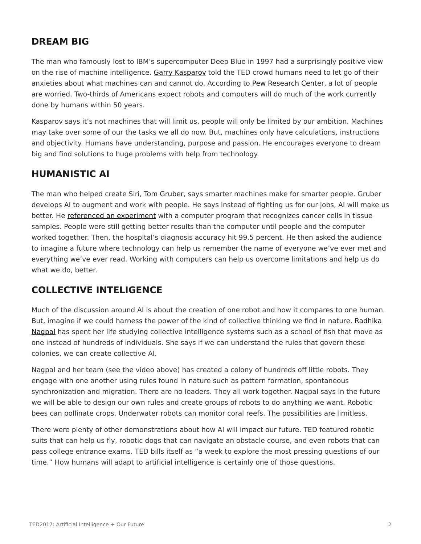# **DREAM BIG**

The man who famously lost to IBM's supercomputer Deep Blue in 1997 had a surprisingly positive view on the rise of machine intelligence. [Garry Kasparov](http://blog.ted.com/humans-must-face-our-fears-garry-kasparov-speaks-at-ted2017/) told the TED crowd humans need to let go of their anxieties about what machines can and cannot do. According to [Pew Research Center,](http://www.pewinternet.org/2016/03/10/public-predictions-for-the-future-of-workforce-automation/) a lot of people are worried. Two-thirds of Americans expect robots and computers will do much of the work currently done by humans within 50 years.

Kasparov says it's not machines that will limit us, people will only be limited by our ambition. Machines may take over some of our the tasks we all do now. But, machines only have calculations, instructions and objectivity. Humans have understanding, purpose and passion. He encourages everyone to dream big and find solutions to huge problems with help from technology.

### **HUMANISTIC AI**

The man who helped create Siri, [Tom Gruber](http://blog.ted.com/our-robotic-overlords-the-talks-of-session-2-of-ted2017/), says smarter machines make for smarter people. Gruber develops AI to augment and work with people. He says instead of fighting us for our jobs, AI will make us better. He [referenced an experiment](http://vancouversun.com/news/local-news/ted-talks-tackle-topic-of-how-to-deal-with-robotic-overlords-of-future) with a computer program that recognizes cancer cells in tissue samples. People were still getting better results than the computer until people and the computer worked together. Then, the hospital's diagnosis accuracy hit 99.5 percent. He then asked the audience to imagine a future where technology can help us remember the name of everyone we've ever met and everything we've ever read. Working with computers can help us overcome limitations and help us do what we do, better.

## **COLLECTIVE INTELIGENCE**

Much of the discussion around AI is about the creation of one robot and how it compares to one human. But, imagine if we could harness the power of the kind of collective thinking we find in nature. [Radhika](http://blog.ted.com/harnessing-the-intelligence-of-the-collective-radhika-nagpal-speaks-at-ted2017/) [Nagpal](http://blog.ted.com/harnessing-the-intelligence-of-the-collective-radhika-nagpal-speaks-at-ted2017/) has spent her life studying collective intelligence systems such as a school of fish that move as one instead of hundreds of individuals. She says if we can understand the rules that govern these colonies, we can create collective AI.

Nagpal and her team (see the video above) has created a colony of hundreds off little robots. They engage with one another using rules found in nature such as pattern formation, spontaneous synchronization and migration. There are no leaders. They all work together. Nagpal says in the future we will be able to design our own rules and create groups of robots to do anything we want. Robotic bees can pollinate crops. Underwater robots can monitor coral reefs. The possibilities are limitless.

There were plenty of other demonstrations about how AI will impact our future. TED featured robotic suits that can help us fly, robotic dogs that can navigate an obstacle course, and even robots that can pass college entrance exams. TED bills itself as "a week to explore the most pressing questions of our time." How humans will adapt to artificial intelligence is certainly one of those questions.